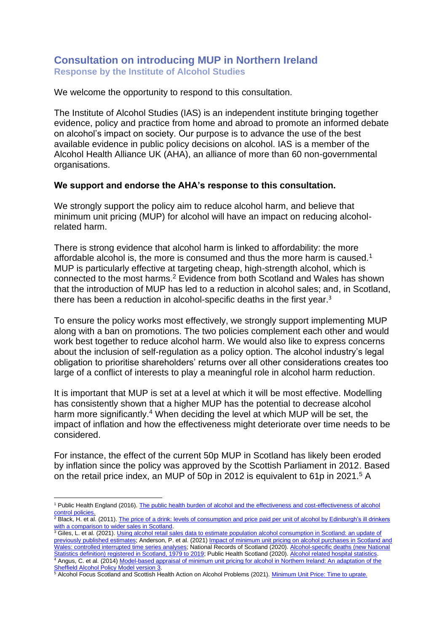## **Consultation on introducing MUP in Northern Ireland Response by the Institute of Alcohol Studies**

We welcome the opportunity to respond to this consultation.

The Institute of Alcohol Studies (IAS) is an independent institute bringing together evidence, policy and practice from home and abroad to promote an informed debate on alcohol's impact on society. Our purpose is to advance the use of the best available evidence in public policy decisions on alcohol. IAS is a member of the Alcohol Health Alliance UK (AHA), an alliance of more than 60 non-governmental organisations.

## **We support and endorse the AHA's response to this consultation.**

We strongly support the policy aim to reduce alcohol harm, and believe that minimum unit pricing (MUP) for alcohol will have an impact on reducing alcoholrelated harm.

There is strong evidence that alcohol harm is linked to affordability: the more affordable alcohol is, the more is consumed and thus the more harm is caused.<sup>1</sup> MUP is particularly effective at targeting cheap, high-strength alcohol, which is connected to the most harms.<sup>2</sup> Evidence from both Scotland and Wales has shown that the introduction of MUP has led to a reduction in alcohol sales; and, in Scotland, there has been a reduction in alcohol-specific deaths in the first year.<sup>3</sup>

To ensure the policy works most effectively, we strongly support implementing MUP along with a ban on promotions. The two policies complement each other and would work best together to reduce alcohol harm. We would also like to express concerns about the inclusion of self-regulation as a policy option. The alcohol industry's legal obligation to prioritise shareholders' returns over all other considerations creates too large of a conflict of interests to play a meaningful role in alcohol harm reduction.

It is important that MUP is set at a level at which it will be most effective. Modelling has consistently shown that a higher MUP has the potential to decrease alcohol harm more significantly.<sup>4</sup> When deciding the level at which MUP will be set, the impact of inflation and how the effectiveness might deteriorate over time needs to be considered.

For instance, the effect of the current 50p MUP in Scotland has likely been eroded by inflation since the policy was approved by the Scottish Parliament in 2012. Based on the retail price index, an MUP of 50p in 2012 is equivalent to 61p in 2021.<sup>5</sup> A

<sup>1</sup> Public Health England (2016)[. The public health burden of alcohol and the effectiveness and cost-effectiveness of alcohol](https://assets.publishing.service.gov.uk/government/uploads/system/uploads/attachment_data/file/733108/alcohol_public_health_burden_evidence_review_update_2018.pdf)  [control policies.](https://assets.publishing.service.gov.uk/government/uploads/system/uploads/attachment_data/file/733108/alcohol_public_health_burden_evidence_review_update_2018.pdf)

<sup>2</sup> Black, H. et al. (2011). The price of a drink: levels of consumption and price paid per unit of alcohol by Edinburgh's ill drinkers [with a comparison to wider sales in Scotland.](https://www.napier.ac.uk/research-and-innovation/research-search/outputs/the-price-of-a-drink-levels-of-consumption-and-price-paid-per-unit-of-alcohol-by)

<sup>&</sup>lt;sup>3</sup> Giles, L. et al. (2021). Using alcohol retail sales data to estimate population alcohol consumption in Scotland: an update of [previously published estimates;](https://publichealthscotland.scot/media/2994/using-alcohol-retail-sales-data-to-estimate-population-alcohol-consumption-in-scotland-an-update-of-previously-published-estimates.pdf) Anderson, P. et al. (2021) [Impact of minimum unit pricing on alcohol purchases in Scotland and](https://www.thelancet.com/journals/lanpub/article/PIIS2468-2667(21)00052-9/fulltext)  [Wales: controlled interrupted time series analyses;](https://www.thelancet.com/journals/lanpub/article/PIIS2468-2667(21)00052-9/fulltext) National Records of Scotland (2020)[. Alcohol-specific deaths \(new National](https://www.nrscotland.gov.uk/statistics-and-data/statistics/statistics-%20by-theme/vital-events/deaths/alcohol-deaths)  [Statistics definition\) registered in Scotland, 1979 to 2019;](https://www.nrscotland.gov.uk/statistics-and-data/statistics/statistics-%20by-theme/vital-events/deaths/alcohol-deaths) Public Health Scotland (2020)[. Alcohol related hospital statistics.](https://beta.isdscotland.org/find-publications-and-data/lifestyle-and-behaviours/substance-use/alcohol-related-hospital-statistics/) <sup>4</sup> Angus, C. et al. (2014[\) Model-based appraisal of minimum unit pricing for alcohol in Northern Ireland: An adaptation of the](https://www.health-ni.gov.uk/sites/default/files/publications/dhssps/alcohol-and-drug-mup-ni-report-from-university-of-sheffield.pdf)  Sheffield [Alcohol Policy Model version 3.](https://www.health-ni.gov.uk/sites/default/files/publications/dhssps/alcohol-and-drug-mup-ni-report-from-university-of-sheffield.pdf)

<sup>&</sup>lt;sup>5</sup> Alcohol Focus Scotland and Scottish Health Action on Alcohol Problems (2021). [Minimum Unit Price: Time](https://www.alcohol-focus-scotland.org.uk/media/440101/joint-afs-shaap-uprate-mup-briefing-nov-21.pdf) to uprate.